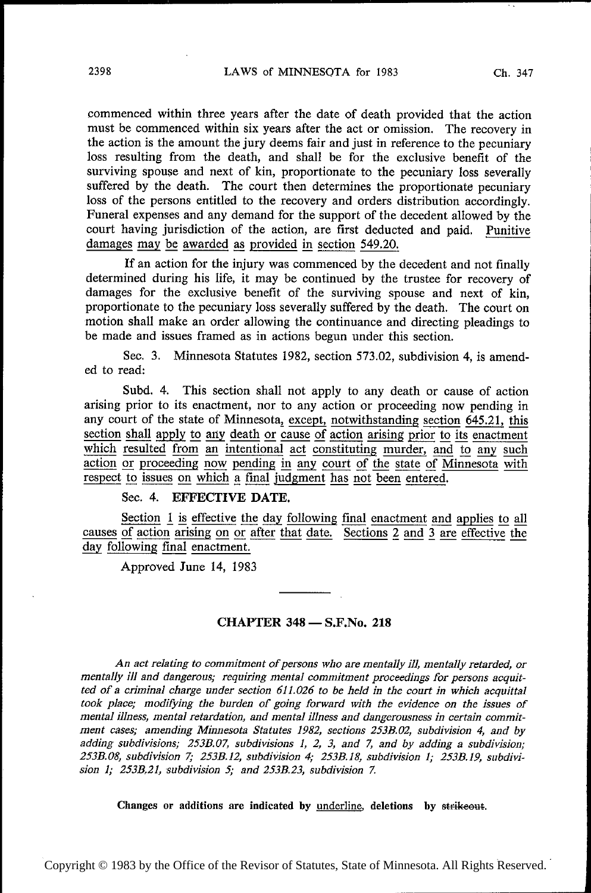commenced within three years after the date of death provided that the action must be commenced within six years after the act or omission. The recovery in the action is the amount the jury deems fair and just in reference to the pecuniary loss resulting from the death, and shall be for the exclusive benefit of the surviving spouse and next of kin, proportionate to the pecuniary loss severally suffered by the death. The court then determines the proportionate pecuniary loss of the persons entitled to the recovery and orders distribution accordingly. Funeral expenses and any demand for the support of the decedent allowed by the court having jurisdiction of the action, are first deducted and paid. Punitive damages may be awarded as provided in section 549.20.

If an action for the injury was commenced by the decedent and not finally determined during his life, it may be continued by the trustee for recovery of damages for the exclusive benefit of the surviving spouse and next of kin, proportionate to the pecuniary loss severally suffered by the death. The court on motion shall make an order allowing the continuance and directing pleadings to be made and issues framed as in actions begun under this section.

See. 3. Minnesota Statutes 1982, section 573.02, subdivision 4, is amended to read:

Subd. 4. This section shall not apply to any death or cause of action arising prior to its enactment, nor to any action or proceeding now pending in any court of the state of Minnesota, except, notwithstanding section 645.21, this section shall apply to any death or cause of action arising prior to its enactment which resulted from an intentional act constituting murd section snall apply to any death or cause of action arising prior to its enactment<br>which resulted from an intentional act constituting murder, and to any such<br>action or proceeding now pending in any court of the state of M which resulted from an intentional act constituting murder, and to any such action or proceeding now pending in any court of the state of Minnesota with respect to issues on which a final judgment has not been entered.

## Sec. 4. EFFECTIVE DATE.

Section  $1$  is effective the day following final enactment and applies to all causes of action arising on or after that date. Sections  $2$  and  $3$  are effective the day following final enactment.

Approved June 14, 1983

## CHAPTER 348 — S.F.No. <sup>218</sup>

An act relating to commitment of persons who are mentally ill, mentally retarded, or mentally ill and dangerous; requiring mental commitment proceedings for persons acquitted of a criminal charge under section  $611.026$  to be held in the court in which acquittal took place; modifying the burden of going forward with the evidence on the issues of mental illness, mental retardation, and mental illness and dangerousness in certain commitment cases; amending Minnesota Statutes 1982, sections 25319.02, subdivision 4, and by adding subdivisions; 253B.07, subdivisions 1, 2, 3, and 7, and by adding a subdivision; 253B.08, subdivision 7; 25.33.12, subdivision 4; 253B.l8, subdivision 1; 253B.l9, subdivision 1; 253B,21, subdivision 5; and 253B.23, subdivision 7.

Changes or additions are indicated by <u>underline</u>, deletions by strikeout.

Copyright © 1983 by the Office of the Revisor of Statutes, State of Minnesota. All Rights Reserved.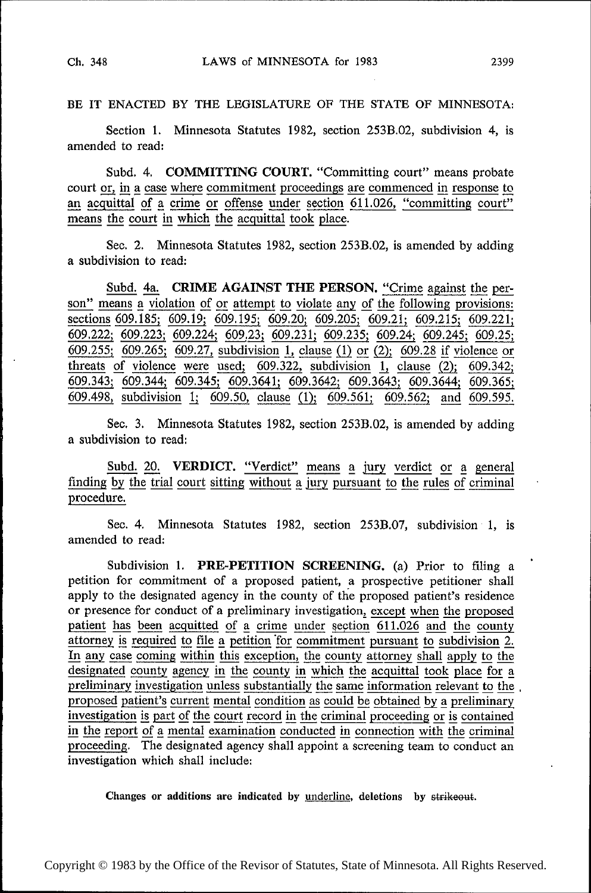BE IT ENACTED BY THE LEGISLATURE OF THE STATE OF MINNESOTA:

Section 1. Minnesota Statutes 1982, section 253B.02, subdivision 4, is amended to read:

Subd. 4. COMMITTING COURT. "Committing court" means probate court <u>or, in a case where commitment proceedings are commenced in response to</u> an acquittal of a crime or offense under section 611.026, "committing court" means the court in which the acquittal took place.

Sec. 2. Minnesota Statutes 1982, section 253B.O2, is amended by adding a subdivision to read:

Subd. 4a. CRIME AGAINST THE PERSON. "Crime against the person" means a violation of or attempt to violate any of the following provisions: sections 609.185; 609.19; 609.195; 609.20; 609.205; 609.21; 609.215; 609.221;  $\frac{609.222}{609.222}$ ;  $\frac{609.223}{609.265}$ ;  $\frac{609.224}{609.27}$ , subdivision 1, clause (1) or (2); 609.28 if violence or threats of violence were used; 609.322, subdivision 1, clause  $(2)$ ; 609.342; 609.343; 609.344; 609.345; 609.3641; 609.3642; 609.3643; 609.3644; 609.365; 609.498, subdivision 1; 609.50, clause (1); 609.561; 609.562; and 609.595.

See. 3. Minnesota Statutes 1982, section 253B.O2, is amended by adding a subdivision to read:

Subd. 20. VERDICT. "Verdict" means a jury verdict or a general finding by the trial court sitting without a jury pursuant to the rules of criminal procedure.

Sec. 4. Minnesota Statutes 1982, section 253B.07, subdivision 1, is amended to read:

Subdivision 1. **PRE-PETITION SCREENING.** (a) Prior to filing a petition for commitment of a proposed patient, a prospective petitioner shall apply to the designated agency in the county of the proposed patient's residence or presence for conduct of a preliminary investigation,  $\frac{except}{10,026}$  and the proposed patient has been acquitted of a crime under section  $\frac{611,026}{10,026}$  and the county patient has been acquitted of a crime under section 611.026 and the county<br>attorney is required to file a petition for commitment pursuant to subdivision 2. attorney is required to file a petition for commitment pursuant to subdivision 2.<br>In any case coming within this exception, the county attorney shall apply to the In any case coming within this exception, the county attorney shall apply to the designated county agency in the county in which the acquittal took place for a In any case coming within this exception, the county attorney shall apply to the designated county agency in the county in which the acquittal took place for a preliminary investigation unless substantially the same inform proposed patient's current mental condition a\_s could 'pg obtained py g preliminary investigation is part of the court record in the criminal proceeding or is contained<br>in the report of a mental examination conducted in connection with the criminal investigation is part of the court record in the criminal proceeding or is contained<br>in the report of a mental examination conducted in connection with the criminal<br>proceeding. The designated agency shall appoint a screeni investigation which shall include:

Changes or additions are indicated by <u>underline</u>, deletions by strikeout.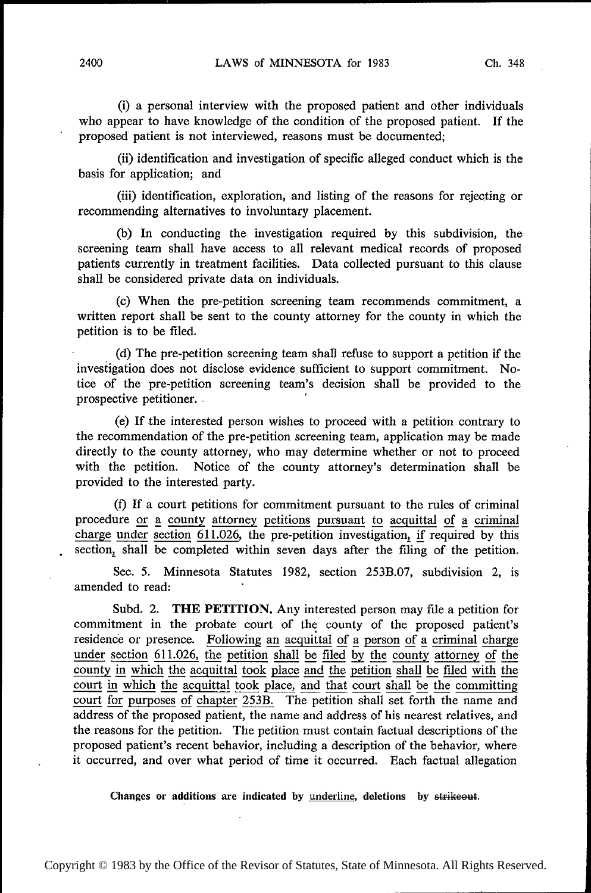(i) a personal interview with the proposed patient and other individuals who appear to have knowledge of the condition of the proposed patient. If the proposed patient is not interviewed, reasons must be documented;

(ii) identification and investigation of specific alleged conduct which is the basis for application; and

(iii) identification, exploration, and listing of the reasons for rejecting or recommending alternatives to involuntary placement.

(b) In conducting the investigation required by this subdivision, the screening team shall have access to all relevant medical records of proposed patients currently in treatment facilities. Data collected pursuant to this clause shall be considered private data on individuals.

(c) When the pre-petition screening team recommends commitment, <sup>a</sup> written report shall be sent to the county attorney for the county in which the petition is to be filed.

((1) The pre~petition screening team shall refuse to support a petition if the investigation does not disclose evidence sufficient to support commitment. Notice of the pre-petition screening team's decision shall be provided to the prospective petitioner. . '

(e) If the interested person wishes to proceed with a petition contrary to the recommendation of the pre-petition screening team, application may be made directly to the county attorney, who may determine whether or not to proceed with the petition. Notice of the county attorney's determination shall be Notice of the county attorney's determination shall be provided to the interested party.

(f) If a court petitions for commitment pursuant to the rules of criminal procedure or a county attorney petitions pursuant to acquittal of a criminal charge under section  $611.026$ , the pre-petition investigation, if required by this section, shall be completed within seven days after the filing of the petition.

Sec. 5. Minnesota Statutes 1982, section 253B.07, subdivision 2, is amended to read:

Subd. 2. THE PETITION. Any interested person may file a petition for commitment in the probate court of the county of the proposed patient's residence or presence. Following an acquittal of a person of a criminal charge under section 611.026, the petition shall be filed by the county attorney of the county in which the acquittal took place and the petition shall be filed with the court in which the acquittal took place, and that court shall be the committing court for purposes of chapter 253B. The petition shall set forth the name and address of the proposed patient, the name and address of his nearest relatives, and the reasons for the petition. The petition must contain factual descriptions of the proposed patient's recent behavior, including a description of the behavior, where it occurred, and over what period of time it occurred. Bach factual allegation

Changes or additions are indicated by <u>underline</u>, deletions by strikeout.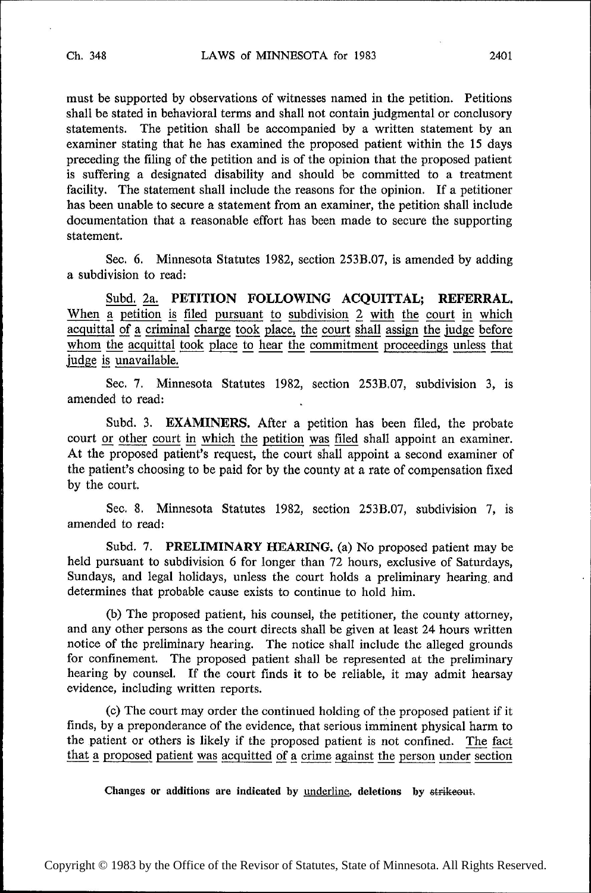must be supported by observations of witnesses named in the petition. Petitions shall be stated in behavioral terms and shall not contain judgmental or conclusory statements. The petition shall be accompanied by a written statement by an examiner stating that he has examined the proposed patient within the 15 days preceding the filing of the petition and is of the opinion that the proposed patient is suffering a designated disability and should be committed to a treatment facility. The statement shall include the reasons for the opinion. If a petitioner has been unable to secure a statement from an examiner, the petition shall include documentation that a reasonable effort has been made to secure the supporting statement.

See. 6. Minnesota Statutes 1982, section 253B.07, is amended by adding a subdivision to read:

 $\frac{\text{Subd. 2a.}}{\text{a. 1a}}$  PETITION FOLLOWING ACQUITTAL; REFERRAL. When  $\frac{1}{a}$  petition is filed pursuant to subdivision  $\frac{2}{b}$  with the court in which acquittal of a criminal charge took place, the court shall assign the judge before acquittal of a criminal charge took place, the court shall assign the judge before whom the acquittal took place to hear the commitment proceedings unless that judge is unavailable.

See. 7. Minnesota Statutes 1982, section 253B.07, subdivision 3, is amended to read:

Subd. 3. **EXAMINERS.** After a petition has been filed, the probate court or other court in which the petition was filed shall appoint an examiner. court <u>or other court in which the petition</u> was filed shall appoint an examiner.<br>At the proposed patient's request, the court shall appoint a second examiner of the patient's choosing to be paid for by the county at a rate of compensation fixed by the court.

Sec. 8. Minnesota Statutes 1982, section 253B.07, subdivision 7, is amended to read:

Subd. 7. PRELIMINARY HEARING. (a) No proposed patient may be held pursuant to subdivision 6 for longer than 72 hours, exclusive of Saturdays, Sundays, and legal holidays, unless the court holds a preliminary hearing, and determines that probable cause exists to continue to hold him.

(b) The proposed patient, his counsel, the petitioner, the county attorney, and any other persons as the court directs shall be given at least 24 hours written notice of the preliminary hearing. The notice shall include the alleged grounds for confinement. The proposed patient shall be represented at the preliminary hearing by counsel. If the court finds it to be reliable, it may admit hearsay evidence, including written reports.

(c) The court may order the continued holding of the proposed patient if it finds, by a preponderance of the evidence, that serious imminent physical harm to the patient or others is likely if the proposed patient is not confined. The fact that a proposed patient was acquitted of a crime against the person under section

Changes or additions are indicated by <u>underline</u>, deletions by strikeout.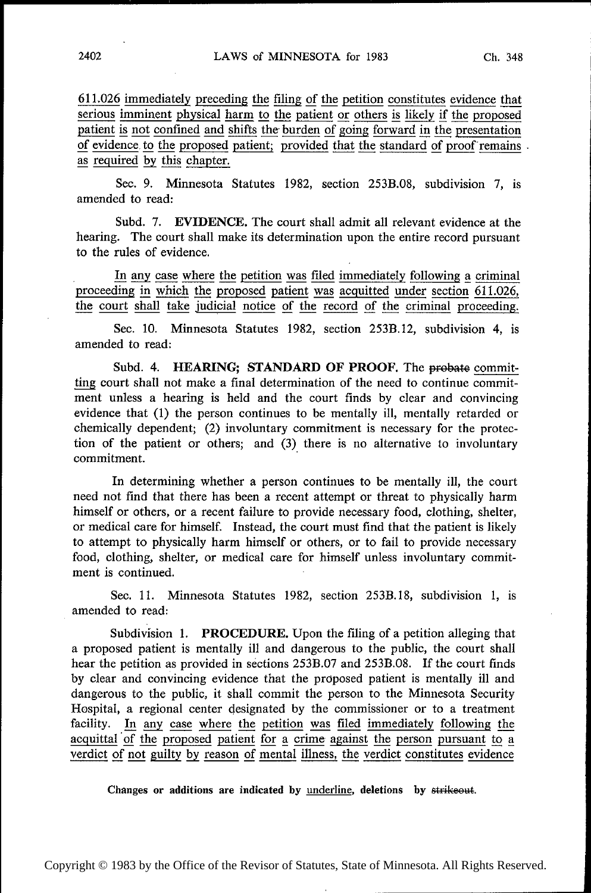611.026 immediately preceding the filing of the petition constitutes evidence that serious imminent physical harm to the patient or others is likely if the proposed patient is not confined and shifts the burden of going forward in the presentation of evidence to the proposed patient; provided that the standard of proof remains . as required by this chapter.

Sec. 9. Minnesota Statutes 1982, section 253B.O8, subdivision 7, is amended to read:

Subd. 7. EVIDENCE. The court shall admit all relevant evidence at the hearing. The court shall make its determination upon the entire record pursuant to the rules of evidence.

In any case where the petition was filed immediately following a criminal proceeding in which the proposed patient was acquitted under section  $611.026$ , the court shall take judicial notice of the record of the criminal proceeding.

Sec. 10. Minnesota Statutes 1982, section 253B.l2, subdivision 4, is amended to read:

Subd. 4. HEARING; STANDARD OF PROOF. The probate committing court shall not make a final determination of the need to continue commitment unless a hearing is held and the court finds by clear and convincing evidence that (1) the person continues to be mentally ill, mentally retarded or chemically dependent; (2) involuntary commitment is necessary for the protection of the patient or others; and (3) there is no alternative to involuntary commitment.

In determining whether a person continues to be mentally ill, the court need not find that there has been a recent attempt or threat to physically harm himself or others, or a recent failure to provide necessary food, clothing, shelter, or medical care for himself. Instead, the court must find that the patient is likely to attempt to physically harm himself or others, or to fail to provide necessary food, clothing, shelter, or medical care for himself unless involuntary commitment is continued.

Sec. 11. Minnesota Statutes 1982, section 253B.18, subdivision 1, is amended to read:

Subdivision 1. PROCEDURE. Upon the filing of a petition alleging that a proposed patient is mentally ill and dangerous to the public, the court shall hear the petition as provided in sections 253B.07 and 253B.08. If the court finds by clear and convincing evidence that the proposed patient is mentally ill and dangerous to the public, it shall commit the person to the Minnesota Security Hospital, a regional center designated by the commissioner or to a treatment facility. In any case where the petition was filed immediately following the acquittal of the proposed patient for a crime against the person pursuant to a verdict of not guilty by reason of mental illness, the verdict constitutes evidence

Changes or additions are indicated by <u>underline</u>, deletions by strikeout.

Copyright © 1983 by the Office of the Revisor of Statutes, State of Minnesota. All Rights Reserved.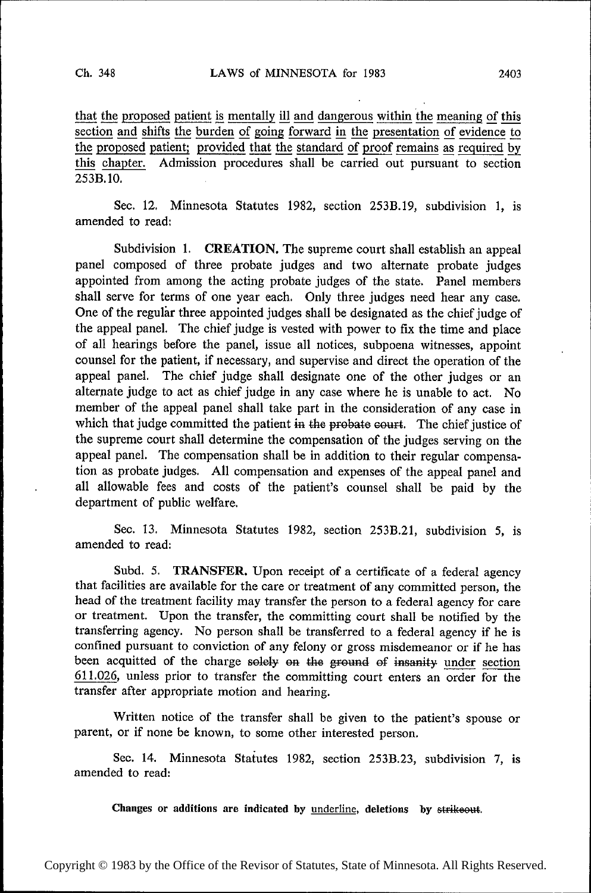~~~ ~

 $\mathbf{r}$ 

~~~

~ ~ ⋅

~~~~

~~ ~ . . ~~~

~~~

~~ . ~~~

~~~

~~~

~~

⊪ ~~

that the proposed patient is mentally ill and dangerous within the meaning of this section and shifts the burden of going forward in the presentation of evidence to the proposed patient; provided that the standard of proof this chapter. Admission procedures shall be carried out pursuant to section 253B.l0.

Sec. 12. Minnesota Statutes 1982, section 253B.19, subdivision 1, is amended to read:

Subdivision 1. CREATION. The supreme court shall establish an appeal panel composed of three probate judges and two alternate probate judges appointed from among the acting probate judges of the state. Panel members shall serve for terms of one year each. Only three judges need hear any case. One of the regular three appointed judges shall be designated as the chief judge of the appeal panel. The chief judge is vested with power to fix the time and place of all hearings before the panel, issue all notices, subpoena witnesses, appoint counsel for the patient, if necessary, and supervise and direct the operation of the appeal panel. The chief judge shall designate one of the other judges or an alternate judge to act as chief judge in any case where he is unable to act. No member of the appeal panel shall take part in the consideration of any case in which that judge committed the patient in the probate court. The chief justice of the supreme court shall determine the compensation of the judges serving on the appeal panel. The compensation shall be in addition to their regular compensation as probate judges. All compensation and expenses of the appeal panel and all allowable fees and costs of the patient's counsel shall be paid by the department of public welfare.

> Sec. 13. Minnesota Statutes 1982, section 253B.21, subdivision 5, is amended to read:

> Subd. 5. TRANSFER. Upon receipt of a certificate of a federal agency that facilities are available for the care or treatment of any committed person, the head of the treatment facility may transfer the person to a federal agency for care or treatment. Upon the transfer, the committing court shall be notified by the transferring agency. No person shall be transferred to a federal agency if he is confined pursuant to conviction of any felony or gross misdemeanor or if he has been acquitted of the charge solely on the ground of insanity under section 611.026, unless prior to transfer the committing court enters an order for the transfer after appropriate motion and hearing.

> Written notice of the transfer shall be given to the patient's spouse or parent, or if none be known, to some other interested person.

> Sec. 14. Minnesota Statutes 1982, section 253B.23, subdivision 7, is amended to read:

Changes or additions are indicated by <u>underline</u>, deletions by strikeout.

Copyright © 1983 by the Office of the Revisor of Statutes, State of Minnesota. All Rights Reserved.